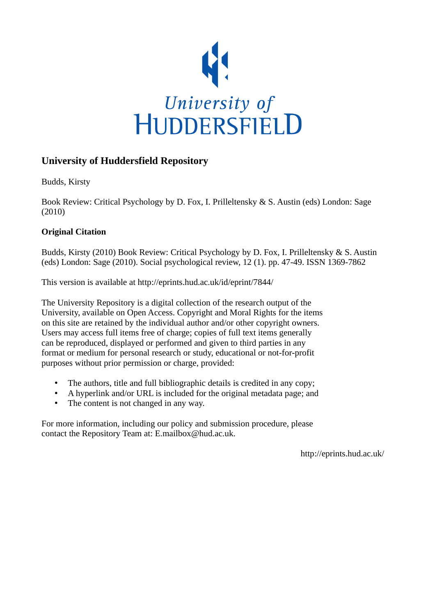

## **University of Huddersfield Repository**

Budds, Kirsty

Book Review: Critical Psychology by D. Fox, I. Prilleltensky & S. Austin (eds) London: Sage (2010)

## **Original Citation**

Budds, Kirsty (2010) Book Review: Critical Psychology by D. Fox, I. Prilleltensky & S. Austin (eds) London: Sage (2010). Social psychological review, 12 (1). pp. 47-49. ISSN 1369-7862

This version is available at http://eprints.hud.ac.uk/id/eprint/7844/

The University Repository is a digital collection of the research output of the University, available on Open Access. Copyright and Moral Rights for the items on this site are retained by the individual author and/or other copyright owners. Users may access full items free of charge; copies of full text items generally can be reproduced, displayed or performed and given to third parties in any format or medium for personal research or study, educational or not-for-profit purposes without prior permission or charge, provided:

- The authors, title and full bibliographic details is credited in any copy;
- A hyperlink and/or URL is included for the original metadata page; and
- The content is not changed in any way.

For more information, including our policy and submission procedure, please contact the Repository Team at: E.mailbox@hud.ac.uk.

http://eprints.hud.ac.uk/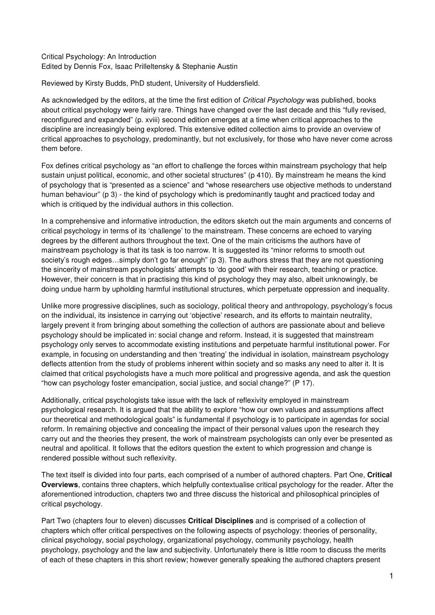## Critical Psychology: An Introduction Edited by Dennis Fox, Isaac Prilleltensky & Stephanie Austin

Reviewed by Kirsty Budds, PhD student, University of Huddersfield.

As acknowledged by the editors, at the time the first edition of Critical Psychology was published, books about critical psychology were fairly rare. Things have changed over the last decade and this "fully revised, reconfigured and expanded" (p. xviii) second edition emerges at a time when critical approaches to the discipline are increasingly being explored. This extensive edited collection aims to provide an overview of critical approaches to psychology, predominantly, but not exclusively, for those who have never come across them before.

Fox defines critical psychology as "an effort to challenge the forces within mainstream psychology that help sustain unjust political, economic, and other societal structures" (p 410). By mainstream he means the kind of psychology that is "presented as a science" and "whose researchers use objective methods to understand human behaviour" (p 3) - the kind of psychology which is predominantly taught and practiced today and which is critiqued by the individual authors in this collection.

In a comprehensive and informative introduction, the editors sketch out the main arguments and concerns of critical psychology in terms of its 'challenge' to the mainstream. These concerns are echoed to varying degrees by the different authors throughout the text. One of the main criticisms the authors have of mainstream psychology is that its task is too narrow. It is suggested its "minor reforms to smooth out society's rough edges…simply don't go far enough" (p 3). The authors stress that they are not questioning the sincerity of mainstream psychologists' attempts to 'do good' with their research, teaching or practice. However, their concern is that in practising this kind of psychology they may also, albeit unknowingly, be doing undue harm by upholding harmful institutional structures, which perpetuate oppression and inequality.

Unlike more progressive disciplines, such as sociology, political theory and anthropology, psychology's focus on the individual, its insistence in carrying out 'objective' research, and its efforts to maintain neutrality, largely prevent it from bringing about something the collection of authors are passionate about and believe psychology should be implicated in: social change and reform. Instead, it is suggested that mainstream psychology only serves to accommodate existing institutions and perpetuate harmful institutional power. For example, in focusing on understanding and then 'treating' the individual in isolation, mainstream psychology deflects attention from the study of problems inherent within society and so masks any need to alter it. It is claimed that critical psychologists have a much more political and progressive agenda, and ask the question "how can psychology foster emancipation, social justice, and social change?" (P 17).

Additionally, critical psychologists take issue with the lack of reflexivity employed in mainstream psychological research. It is argued that the ability to explore "how our own values and assumptions affect our theoretical and methodological goals" is fundamental if psychology is to participate in agendas for social reform. In remaining objective and concealing the impact of their personal values upon the research they carry out and the theories they present, the work of mainstream psychologists can only ever be presented as neutral and apolitical. It follows that the editors question the extent to which progression and change is rendered possible without such reflexivity.

The text itself is divided into four parts, each comprised of a number of authored chapters. Part One, **Critical Overviews**, contains three chapters, which helpfully contextualise critical psychology for the reader. After the aforementioned introduction, chapters two and three discuss the historical and philosophical principles of critical psychology.

Part Two (chapters four to eleven) discusses **Critical Disciplines** and is comprised of a collection of chapters which offer critical perspectives on the following aspects of psychology: theories of personality, clinical psychology, social psychology, organizational psychology, community psychology, health psychology, psychology and the law and subjectivity. Unfortunately there is little room to discuss the merits of each of these chapters in this short review; however generally speaking the authored chapters present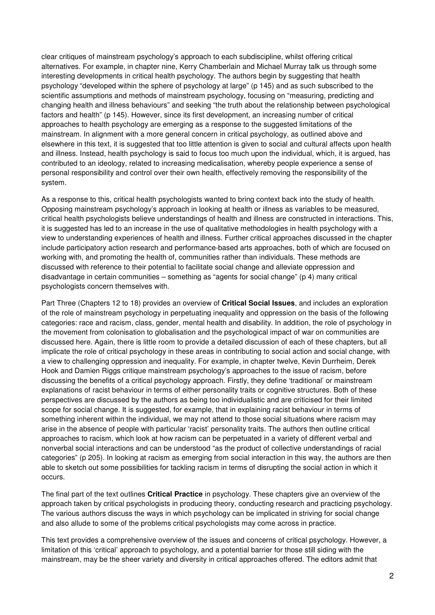clear critiques of mainstream psychology's approach to each subdiscipline, whilst offering critical alternatives. For example, in chapter nine, Kerry Chamberlain and Michael Murray talk us through some interesting developments in critical health psychology. The authors begin by suggesting that health psychology "developed within the sphere of psychology at large" (p 145) and as such subscribed to the scientific assumptions and methods of mainstream psychology, focusing on "measuring, predicting and changing health and illness behaviours" and seeking "the truth about the relationship between psychological factors and health" (p 145). However, since its first development, an increasing number of critical approaches to health psychology are emerging as a response to the suggested limitations of the mainstream. In alignment with a more general concern in critical psychology, as outlined above and elsewhere in this text, it is suggested that too little attention is given to social and cultural affects upon health and illness. Instead, health psychology is said to focus too much upon the individual, which, it is argued, has contributed to an ideology, related to increasing medicalisation, whereby people experience a sense of personal responsibility and control over their own health, effectively removing the responsibility of the system.

As a response to this, critical health psychologists wanted to bring context back into the study of health. Opposing mainstream psychology's approach in looking at health or illness as variables to be measured, critical health psychologists believe understandings of health and illness are constructed in interactions. This, it is suggested has led to an increase in the use of qualitative methodologies in health psychology with a view to understanding experiences of health and illness. Further critical approaches discussed in the chapter include participatory action research and performance-based arts approaches, both of which are focused on working with, and promoting the health of, communities rather than individuals. These methods are discussed with reference to their potential to facilitate social change and alleviate oppression and disadvantage in certain communities – something as "agents for social change" (p 4) many critical psychologists concern themselves with.

Part Three (Chapters 12 to 18) provides an overview of **Critical Social Issues**, and includes an exploration of the role of mainstream psychology in perpetuating inequality and oppression on the basis of the following categories: race and racism, class, gender, mental health and disability. In addition, the role of psychology in the movement from colonisation to globalisation and the psychological impact of war on communities are discussed here. Again, there is little room to provide a detailed discussion of each of these chapters, but all implicate the role of critical psychology in these areas in contributing to social action and social change, with a view to challenging oppression and inequality. For example, in chapter twelve, Kevin Durrheim, Derek Hook and Damien Riggs critique mainstream psychology's approaches to the issue of racism, before discussing the benefits of a critical psychology approach. Firstly, they define 'traditional' or mainstream explanations of racist behaviour in terms of either personality traits or cognitive structures. Both of these perspectives are discussed by the authors as being too individualistic and are criticised for their limited scope for social change. It is suggested, for example, that in explaining racist behaviour in terms of something inherent within the individual, we may not attend to those social situations where racism may arise in the absence of people with particular 'racist' personality traits. The authors then outline critical approaches to racism, which look at how racism can be perpetuated in a variety of different verbal and nonverbal social interactions and can be understood "as the product of collective understandings of racial categories" (p 205). In looking at racism as emerging from social interaction in this way, the authors are then able to sketch out some possibilities for tackling racism in terms of disrupting the social action in which it occurs.

The final part of the text outlines **Critical Practice** in psychology. These chapters give an overview of the approach taken by critical psychologists in producing theory, conducting research and practicing psychology. The various authors discuss the ways in which psychology can be implicated in striving for social change and also allude to some of the problems critical psychologists may come across in practice.

This text provides a comprehensive overview of the issues and concerns of critical psychology. However, a limitation of this 'critical' approach to psychology, and a potential barrier for those still siding with the mainstream, may be the sheer variety and diversity in critical approaches offered. The editors admit that